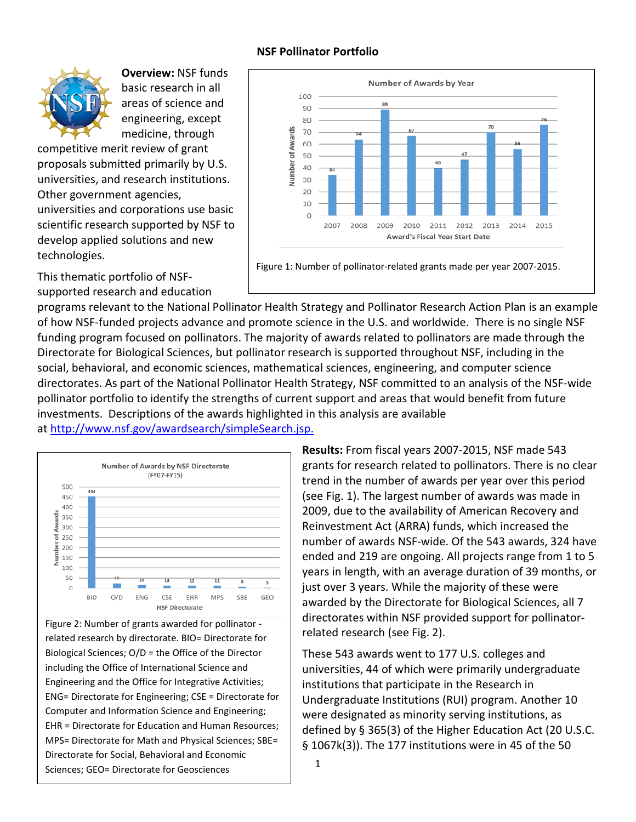## **NSF Pollinator Portfolio**



**Overview:** NSF funds basic research in all areas of science and engineering, except medicine, through

competitive merit review of grant proposals submitted primarily by U.S. universities, and research institutions. Other government agencies, universities and corporations use basic scientific research supported by NSF to develop applied solutions and new technologies.

This thematic portfolio of NSFsupported research and education



programs relevant to the National Pollinator Health Strategy and Pollinator Research Action Plan is an example of how NSF-funded projects advance and promote science in the U.S. and worldwide. There is no single NSF funding program focused on pollinators. The majority of awards related to pollinators are made through the Directorate for Biological Sciences, but pollinator research is supported throughout NSF, including in the social, behavioral, and economic sciences, mathematical sciences, engineering, and computer science directorates. As part of the National Pollinator Health Strategy, NSF committed to an analysis of the NSF-wide pollinator portfolio to identify the strengths of current support and areas that would benefit from future investments. Descriptions of the awards highlighted in this analysis are available at [http://www.nsf.gov/awardsearch/simpleSearch.jsp.](http://www.nsf.gov/awardsearch/simpleSearch.jsp)



Figure 2: Number of grants awarded for pollinator related research by directorate. BIO= Directorate for Biological Sciences; O/D = the Office of the Director including the Office of International Science and Engineering and the Office for Integrative Activities; ENG= Directorate for Engineering; CSE = Directorate for Computer and Information Science and Engineering; EHR = Directorate for Education and Human Resources; MPS= Directorate for Math and Physical Sciences; SBE= Directorate for Social, Behavioral and Economic Sciences; GEO= Directorate for Geosciences

**Results:** From fiscal years 2007-2015, NSF made 543 grants for research related to pollinators. There is no clear trend in the number of awards per year over this period (see Fig. 1). The largest number of awards was made in 2009, due to the availability of American Recovery and Reinvestment Act (ARRA) funds, which increased the number of awards NSF-wide. Of the 543 awards, 324 have ended and 219 are ongoing. All projects range from 1 to 5 years in length, with an average duration of 39 months, or just over 3 years. While the majority of these were awarded by the Directorate for Biological Sciences, all 7 directorates within NSF provided support for pollinatorrelated research (see Fig. 2).

These 543 awards went to 177 U.S. colleges and universities, 44 of which were primarily undergraduate institutions that participate in the Research in Undergraduate Institutions (RUI) program. Another 10 were designated as minority serving institutions, as defined by § 365(3) of the Higher Education Act [\(20 U.S.C.](http://www.gpo.gov/fdsys/pkg/USCODE-2011-title20/html/USCODE-2011-title20-chap28-subchapIII-partE-subpart3-sec1067k.htm)  [§ 1067k\(3\)\)](http://www.gpo.gov/fdsys/pkg/USCODE-2011-title20/html/USCODE-2011-title20-chap28-subchapIII-partE-subpart3-sec1067k.htm). The 177 institutions were in 45 of the 50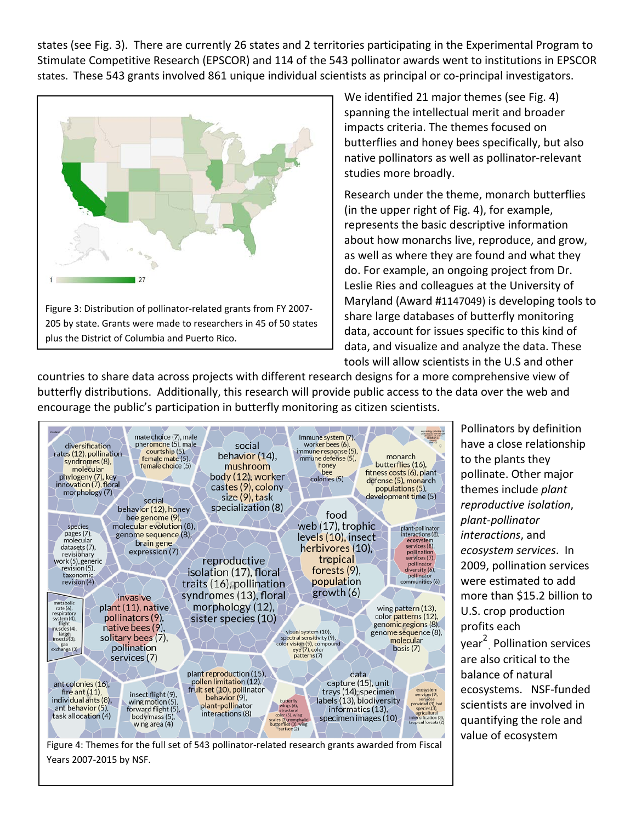states (see Fig. 3). There are currently 26 states and 2 territories participating in the Experimental Program to Stimulate Competitive Research [\(EPSCOR\)](http://www.nsf.gov/od/oia/programs/epscor/index.jsp) and 114 of the 543 pollinator awards went to institutions in EPSCOR states. These 543 grants involved 861 unique individual scientists as principal or co-principal investigators.



We identified 21 major themes (see Fig. 4) spanning the intellectual merit and broader impacts criteria. The themes focused on butterflies and honey bees specifically, but also native pollinators as well as pollinator-relevant studies more broadly.

Research under the theme, monarch butterflies (in the upper right of Fig. 4), for example, represents the basic descriptive information about how monarchs live, reproduce, and grow, as well as where they are found and what they do. For example, an ongoing project from Dr. Leslie Ries and colleagues at the University of Maryland (Award #1147049) is developing tools to share large databases of butterfly monitoring data, account for issues specific to this kind of data, and visualize and analyze the data. These tools will allow scientists in the U.S and other

countries to share data across projects with different research designs for a more comprehensive view of butterfly distributions. Additionally, this research will provide public access to the data over the web and encourage the public's participation in butterfly monitoring as citizen scientists.



Figure 4: Themes for the full set of 543 pollinator-related research grants awarded from Fiscal Years 2007-2015 by NSF.

Pollinators by definition have a close relationship to the plants they pollinate. Other major themes include *plant reproductive isolation*, *plant-pollinator interactions*, and *ecosystem services*. In 2009, pollination services were estimated to add more than \$15.2 billion to U.S. crop production profits each year 2 . Pollination services are also critical to the balance of natural ecosystems. NSF-funded scientists are involved in quantifying the role and value of ecosystem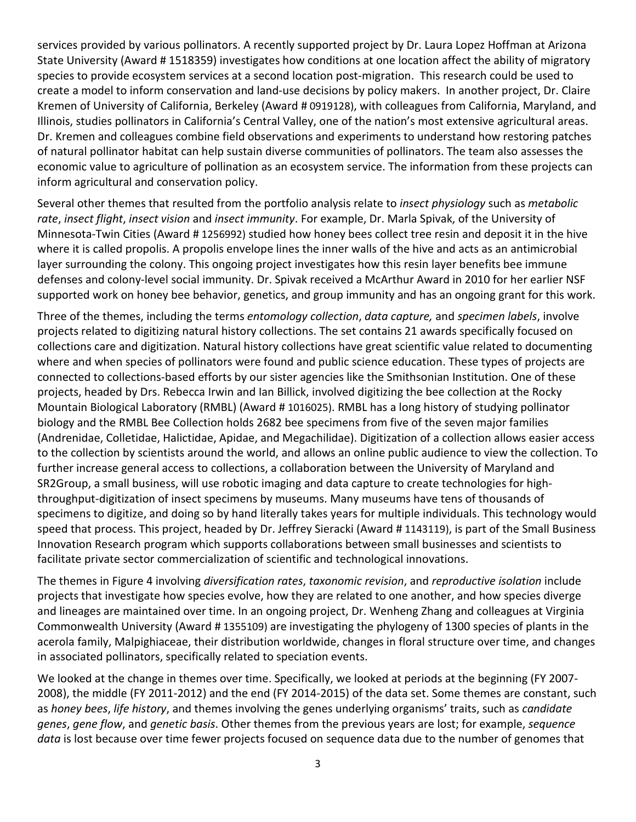services provided by various pollinators. A recently supported project by Dr. Laura Lopez Hoffman at Arizona State University (Award # 1518359) investigates how conditions at one location affect the ability of migratory species to provide ecosystem services at a second location post-migration. This research could be used to create a model to inform conservation and land-use decisions by policy makers. In another project, Dr. Claire Kremen of University of California, Berkeley (Award # 0919128), with colleagues from California, Maryland, and Illinois, studies pollinators in California's Central Valley, one of the nation's most extensive agricultural areas. Dr. Kremen and colleagues combine field observations and experiments to understand how restoring patches of natural pollinator habitat can help sustain diverse communities of pollinators. The team also assesses the economic value to agriculture of pollination as an ecosystem service. The information from these projects can inform agricultural and conservation policy.

Several other themes that resulted from the portfolio analysis relate to *insect physiology* such as *metabolic rate*, *insect flight*, *insect vision* and *insect immunity*. For example, Dr. Marla Spivak, of the University of Minnesota-Twin Cities (Award # 1256992) studied how honey bees collect tree resin and deposit it in the hive where it is called propolis. A propolis envelope lines the inner walls of the hive and acts as an antimicrobial layer surrounding the colony. This ongoing project investigates how this resin layer benefits bee immune defenses and colony-level social immunity. Dr. Spivak received a McArthur Award in 2010 for her earlier NSF supported work on honey bee behavior, genetics, and group immunity and has an ongoing grant for this work.

Three of the themes, including the terms *entomology collection*, *data capture,* and *specimen labels*, involve projects related to digitizing natural history collections. The set contains 21 awards specifically focused on collections care and digitization. Natural history collections have great scientific value related to documenting where and when species of pollinators were found and public science education. These types of projects are connected to collections-based efforts by our sister agencies like the Smithsonian Institution. One of these projects, headed by Drs. Rebecca Irwin and Ian Billick, involved digitizing the bee collection at the Rocky Mountain Biological Laboratory (RMBL) (Award # 1016025). RMBL has a long history of studying pollinator biology and the RMBL Bee Collection holds 2682 bee specimens from five of the seven major families (Andrenidae, Colletidae, Halictidae, Apidae, and Megachilidae). Digitization of a collection allows easier access to the collection by scientists around the world, and allows an online public audience to view the collection. To further increase general access to collections, a collaboration between the University of Maryland and SR2Group, a small business, will use robotic imaging and data capture to create technologies for highthroughput-digitization of insect specimens by museums. Many museums have tens of thousands of specimens to digitize, and doing so by hand literally takes years for multiple individuals. This technology would speed that process. This project, headed by Dr. Jeffrey Sieracki (Award # 1143119), is part of the Small Business Innovation Research program which supports collaborations between small businesses and scientists to facilitate private sector commercialization of scientific and technological innovations.

The themes in Figure 4 involving *diversification rates*, *taxonomic revision*, and *reproductive isolation* include projects that investigate how species evolve, how they are related to one another, and how species diverge and lineages are maintained over time. In an ongoing project, Dr. Wenheng Zhang and colleagues at Virginia Commonwealth University (Award # 1355109) are investigating the phylogeny of 1300 species of plants in the acerola family, Malpighiaceae, their distribution worldwide, changes in floral structure over time, and changes in associated pollinators, specifically related to speciation events.

We looked at the change in themes over time. Specifically, we looked at periods at the beginning (FY 2007- 2008), the middle (FY 2011-2012) and the end (FY 2014-2015) of the data set. Some themes are constant, such as *honey bees*, *life history*, and themes involving the genes underlying organisms' traits, such as *candidate genes*, *gene flow*, and *genetic basis*. Other themes from the previous years are lost; for example, *sequence data* is lost because over time fewer projects focused on sequence data due to the number of genomes that